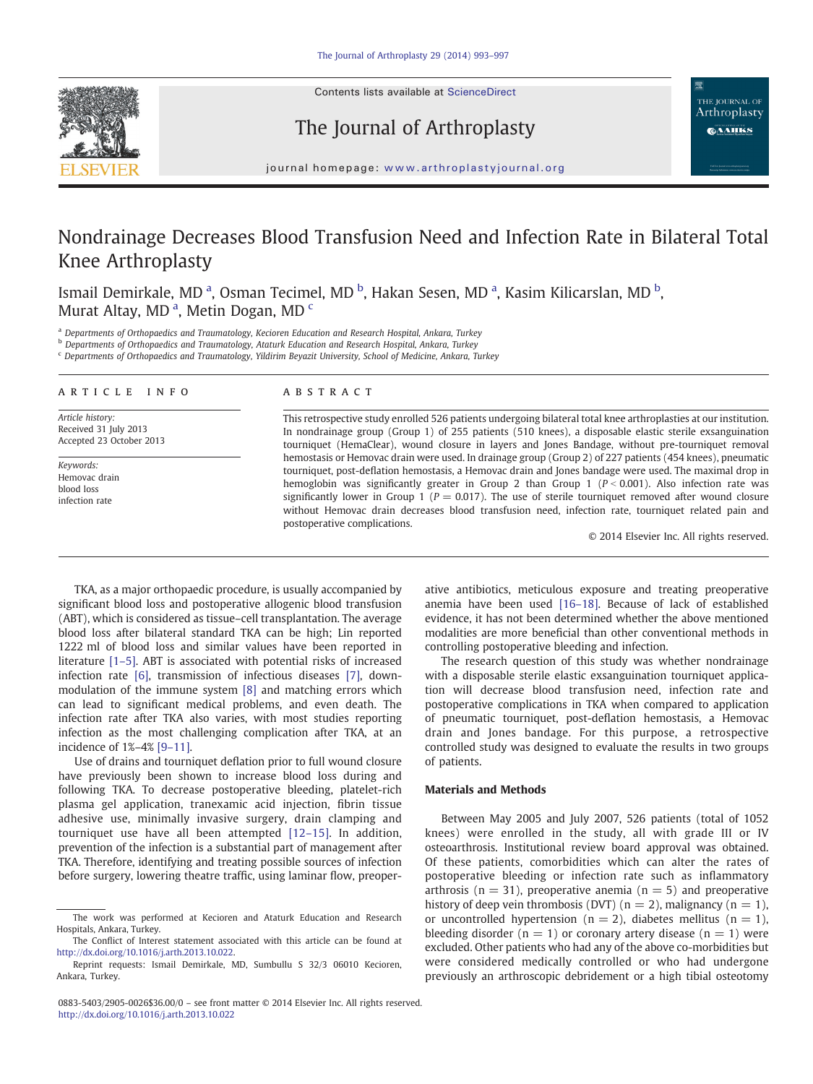Contents lists available at ScienceDirect



The Journal of Arthroplasty

THE JOURNAL OF Arthroplasty **CAAHKS** 

journal homepage: www.arthroplastyjournal.org

# Nondrainage Decreases Blood Transfusion Need and Infection Rate in Bilateral Total Knee Arthroplasty

Ismail Demirkale, MD <sup>a</sup>, Osman Tecimel, MD <sup>b</sup>, Hakan Sesen, MD <sup>a</sup>, Kasim Kilicarslan, MD <sup>b</sup>, Murat Altay, MD<sup>a</sup>, Metin Dogan, MD<sup>c</sup>

a Departments of Orthopaedics and Traumatology, Kecioren Education and Research Hospital, Ankara, Turkey

**b** Departments of Orthopaedics and Traumatology, Ataturk Education and Research Hospital, Ankara, Turkey

<sup>c</sup> Departments of Orthopaedics and Traumatology, Yildirim Beyazit University, School of Medicine, Ankara, Turkey

#### ARTICLE INFO ABSTRACT

Article history: Received 31 July 2013 Accepted 23 October 2013

Keywords: Hemovac drain blood loss infection rate

This retrospective study enrolled 526 patients undergoing bilateral total knee arthroplasties at our institution. In nondrainage group (Group 1) of 255 patients (510 knees), a disposable elastic sterile exsanguination tourniquet (HemaClear), wound closure in layers and Jones Bandage, without pre-tourniquet removal hemostasis or Hemovac drain were used. In drainage group (Group 2) of 227 patients (454 knees), pneumatic tourniquet, post-deflation hemostasis, a Hemovac drain and Jones bandage were used. The maximal drop in hemoglobin was significantly greater in Group 2 than Group 1 ( $P < 0.001$ ). Also infection rate was significantly lower in Group 1 ( $P = 0.017$ ). The use of sterile tourniquet removed after wound closure without Hemovac drain decreases blood transfusion need, infection rate, tourniquet related pain and postoperative complications.

© 2014 Elsevier Inc. All rights reserved.

TKA, as a major orthopaedic procedure, is usually accompanied by significant blood loss and postoperative allogenic blood transfusion (ABT), which is considered as tissue–cell transplantation. The average blood loss after bilateral standard TKA can be high; Lin reported 1222 ml of blood loss and similar values have been reported in literature [\[1](#page-4-0)–5]. ABT is associated with potential risks of increased infection rate [\[6\],](#page-4-0) transmission of infectious diseases [\[7\],](#page-4-0) downmodulation of the immune system [\[8\]](#page-4-0) and matching errors which can lead to significant medical problems, and even death. The infection rate after TKA also varies, with most studies reporting infection as the most challenging complication after TKA, at an incidence of 1%–4% [9–[11\].](#page-4-0)

Use of drains and tourniquet deflation prior to full wound closure have previously been shown to increase blood loss during and following TKA. To decrease postoperative bleeding, platelet-rich plasma gel application, tranexamic acid injection, fibrin tissue adhesive use, minimally invasive surgery, drain clamping and tourniquet use have all been attempted [\[12](#page-4-0)–15]. In addition, prevention of the infection is a substantial part of management after TKA. Therefore, identifying and treating possible sources of infection before surgery, lowering theatre traffic, using laminar flow, preoperative antibiotics, meticulous exposure and treating preoperative anemia have been used [16–[18\].](#page-4-0) Because of lack of established evidence, it has not been determined whether the above mentioned modalities are more beneficial than other conventional methods in controlling postoperative bleeding and infection.

The research question of this study was whether nondrainage with a disposable sterile elastic exsanguination tourniquet application will decrease blood transfusion need, infection rate and postoperative complications in TKA when compared to application of pneumatic tourniquet, post-deflation hemostasis, a Hemovac drain and Jones bandage. For this purpose, a retrospective controlled study was designed to evaluate the results in two groups of patients.

#### Materials and Methods

Between May 2005 and July 2007, 526 patients (total of 1052 knees) were enrolled in the study, all with grade III or IV osteoarthrosis. Institutional review board approval was obtained. Of these patients, comorbidities which can alter the rates of postoperative bleeding or infection rate such as inflammatory arthrosis ( $n = 31$ ), preoperative anemia ( $n = 5$ ) and preoperative history of deep vein thrombosis (DVT) ( $n = 2$ ), malignancy ( $n = 1$ ), or uncontrolled hypertension ( $n = 2$ ), diabetes mellitus ( $n = 1$ ), bleeding disorder ( $n = 1$ ) or coronary artery disease ( $n = 1$ ) were excluded. Other patients who had any of the above co-morbidities but were considered medically controlled or who had undergone previously an arthroscopic debridement or a high tibial osteotomy

The work was performed at Kecioren and Ataturk Education and Research Hospitals, Ankara, Turkey.

The Conflict of Interest statement associated with this article can be found at <http://dx.doi.org/10.1016/j.arth.2013.10.022>.

Reprint requests: Ismail Demirkale, MD, Sumbullu S 32/3 06010 Kecioren, Ankara, Turkey.

<sup>0883-5403/2905-0026\$36.00/0</sup> – see front matter © 2014 Elsevier Inc. All rights reserved. <http://dx.doi.org/10.1016/j.arth.2013.10.022>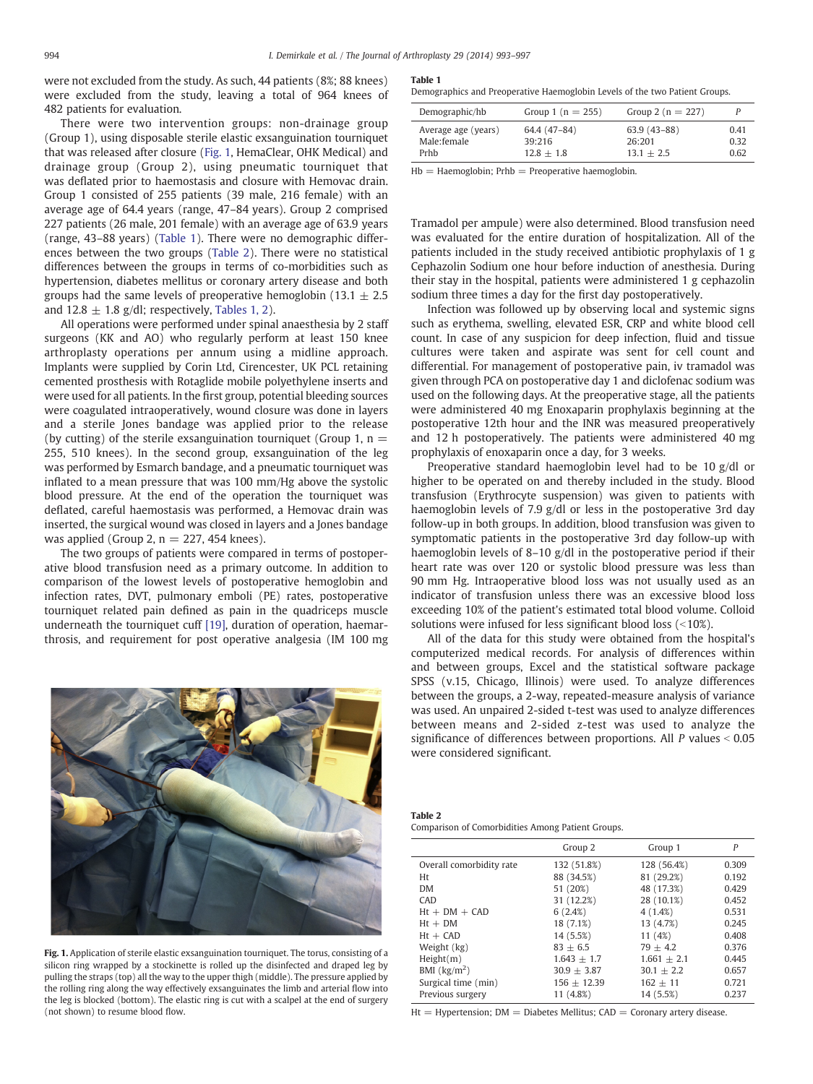were not excluded from the study. As such, 44 patients (8%; 88 knees) were excluded from the study, leaving a total of 964 knees of 482 patients for evaluation.

There were two intervention groups: non-drainage group (Group 1), using disposable sterile elastic exsanguination tourniquet that was released after closure (Fig. 1, HemaClear, OHK Medical) and drainage group (Group 2), using pneumatic tourniquet that was deflated prior to haemostasis and closure with Hemovac drain. Group 1 consisted of 255 patients (39 male, 216 female) with an average age of 64.4 years (range, 47–84 years). Group 2 comprised 227 patients (26 male, 201 female) with an average age of 63.9 years (range, 43–88 years) (Table 1). There were no demographic differences between the two groups (Table 2). There were no statistical differences between the groups in terms of co-morbidities such as hypertension, diabetes mellitus or coronary artery disease and both groups had the same levels of preoperative hemoglobin (13.1  $\pm$  2.5 and  $12.8 \pm 1.8$  g/dl; respectively, Tables 1, 2).

All operations were performed under spinal anaesthesia by 2 staff surgeons (KK and AO) who regularly perform at least 150 knee arthroplasty operations per annum using a midline approach. Implants were supplied by Corin Ltd, Cirencester, UK PCL retaining cemented prosthesis with Rotaglide mobile polyethylene inserts and were used for all patients. In the first group, potential bleeding sources were coagulated intraoperatively, wound closure was done in layers and a sterile Jones bandage was applied prior to the release (by cutting) of the sterile exsanguination tourniquet (Group 1,  $n =$ 255, 510 knees). In the second group, exsanguination of the leg was performed by Esmarch bandage, and a pneumatic tourniquet was inflated to a mean pressure that was 100 mm/Hg above the systolic blood pressure. At the end of the operation the tourniquet was deflated, careful haemostasis was performed, a Hemovac drain was inserted, the surgical wound was closed in layers and a Jones bandage was applied (Group 2,  $n = 227, 454$  knees).

The two groups of patients were compared in terms of postoperative blood transfusion need as a primary outcome. In addition to comparison of the lowest levels of postoperative hemoglobin and infection rates, DVT, pulmonary emboli (PE) rates, postoperative tourniquet related pain defined as pain in the quadriceps muscle underneath the tourniquet cuff [\[19\],](#page-4-0) duration of operation, haemarthrosis, and requirement for post operative analgesia (IM 100 mg



Fig. 1. Application of sterile elastic exsanguination tourniquet. The torus, consisting of a silicon ring wrapped by a stockinette is rolled up the disinfected and draped leg by pulling the straps (top) all the way to the upper thigh (middle). The pressure applied by the rolling ring along the way effectively exsanguinates the limb and arterial flow into the leg is blocked (bottom). The elastic ring is cut with a scalpel at the end of surgery (not shown) to resume blood flow.

#### Table 1

Demographics and Preoperative Haemoglobin Levels of the two Patient Groups.

| Demographic/hb      | Group 1 ( $n = 255$ ) | Group 2 ( $n = 227$ ) |      |
|---------------------|-----------------------|-----------------------|------|
| Average age (years) | 64.4 (47-84)          | $63.9(43-88)$         | 0.41 |
| Male:female         | 39:216                | 26:201                | 0.32 |
| Prhh                | $12.8 + 1.8$          | $13.1 + 2.5$          | 0.62 |

 $Hb = Ha$ emoglobin: Prh $b = P$ reoperative haemoglobin.

Tramadol per ampule) were also determined. Blood transfusion need was evaluated for the entire duration of hospitalization. All of the patients included in the study received antibiotic prophylaxis of 1 g Cephazolin Sodium one hour before induction of anesthesia. During their stay in the hospital, patients were administered 1 g cephazolin sodium three times a day for the first day postoperatively.

Infection was followed up by observing local and systemic signs such as erythema, swelling, elevated ESR, CRP and white blood cell count. In case of any suspicion for deep infection, fluid and tissue cultures were taken and aspirate was sent for cell count and differential. For management of postoperative pain, iv tramadol was given through PCA on postoperative day 1 and diclofenac sodium was used on the following days. At the preoperative stage, all the patients were administered 40 mg Enoxaparin prophylaxis beginning at the postoperative 12th hour and the INR was measured preoperatively and 12 h postoperatively. The patients were administered 40 mg prophylaxis of enoxaparin once a day, for 3 weeks.

Preoperative standard haemoglobin level had to be 10 g/dl or higher to be operated on and thereby included in the study. Blood transfusion (Erythrocyte suspension) was given to patients with haemoglobin levels of 7.9 g/dl or less in the postoperative 3rd day follow-up in both groups. In addition, blood transfusion was given to symptomatic patients in the postoperative 3rd day follow-up with haemoglobin levels of 8–10 g/dl in the postoperative period if their heart rate was over 120 or systolic blood pressure was less than 90 mm Hg. Intraoperative blood loss was not usually used as an indicator of transfusion unless there was an excessive blood loss exceeding 10% of the patient's estimated total blood volume. Colloid solutions were infused for less significant blood loss  $($  < 10%).

All of the data for this study were obtained from the hospital's computerized medical records. For analysis of differences within and between groups, Excel and the statistical software package SPSS (v.15, Chicago, Illinois) were used. To analyze differences between the groups, a 2-way, repeated-measure analysis of variance was used. An unpaired 2-sided t-test was used to analyze differences between means and 2-sided z-test was used to analyze the significance of differences between proportions. All  $P$  values  $< 0.05$ were considered significant.

Table 2 Comparison of Comorbidities Among Patient Groups.

|                                   | Group 2         | Group 1         | P     |
|-----------------------------------|-----------------|-----------------|-------|
| Overall comorbidity rate          | 132 (51.8%)     | 128 (56.4%)     | 0.309 |
| Ht                                | 88 (34.5%)      | 81 (29.2%)      | 0.192 |
| <b>DM</b>                         | 51 (20%)        | 48 (17.3%)      | 0.429 |
| CAD                               | 31 (12.2%)      | 28 (10.1%)      | 0.452 |
| $Ht + DM + CAD$                   | 6(2.4%)         | 4(1.4%)         | 0.531 |
| $Ht + DM$                         | 18 (7.1%)       | 13 (4.7%)       | 0.245 |
| $Ht + CAD$                        | 14 (5.5%)       | 11(4%)          | 0.408 |
| Weight (kg)                       | $83 + 6.5$      | $79 + 4.2$      | 0.376 |
| Height(m)                         | $1.643 \pm 1.7$ | $1.661 \pm 2.1$ | 0.445 |
| BMI $\left(\frac{kg}{m^2}\right)$ | $30.9 + 3.87$   | $30.1 + 2.2$    | 0.657 |
| Surgical time (min)               | $156 + 12.39$   | $162 + 11$      | 0.721 |
| Previous surgery                  | 11 (4.8%)       | 14 (5.5%)       | 0.237 |

 $Ht = Hypertension$ ;  $DM = Diabetes$  Mellitus;  $CAD = Coronary$  artery disease.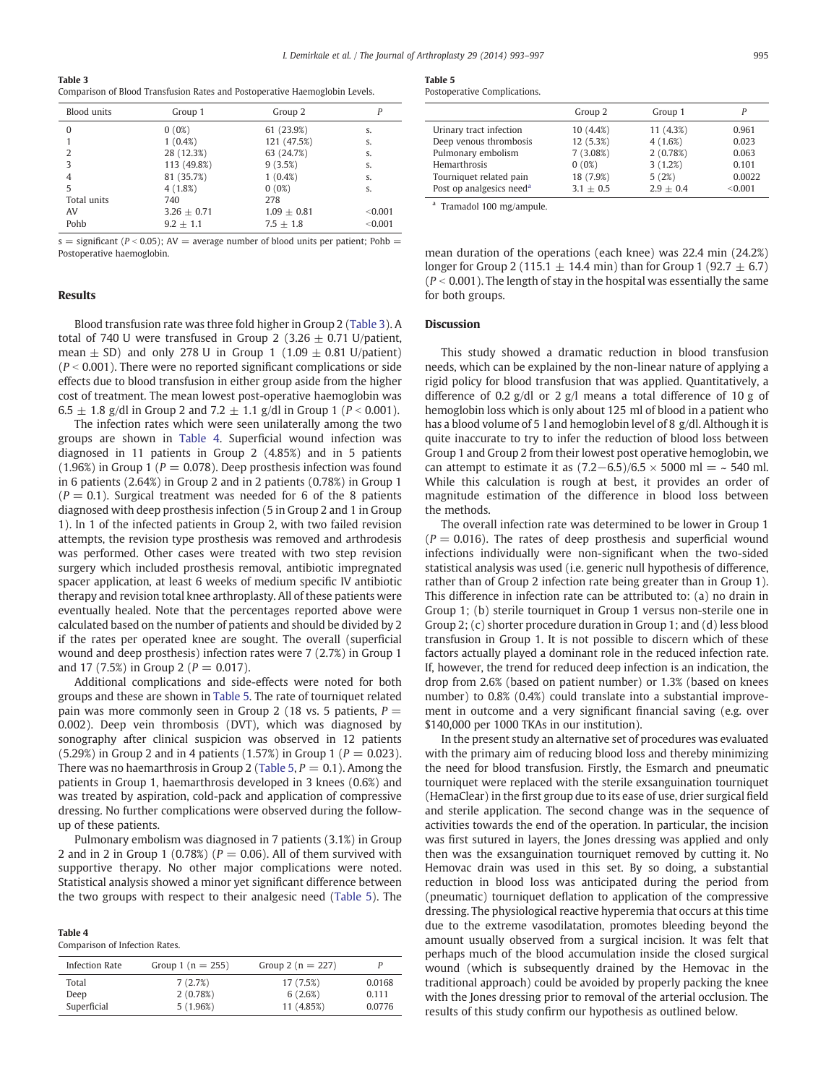<span id="page-2-0"></span>Table 3

Comparison of Blood Transfusion Rates and Postoperative Haemoglobin Levels.

| <b>Blood</b> units | Group 1       | Group 2       |         |
|--------------------|---------------|---------------|---------|
| $\Omega$           | 0(0%)         | 61 (23.9%)    | S.      |
|                    | $1(0.4\%)$    | 121 (47.5%)   | S.      |
| 2                  | 28 (12.3%)    | 63 (24.7%)    | S.      |
| 3                  | 113 (49.8%)   | 9(3.5%)       | S.      |
| 4                  | 81 (35.7%)    | $1(0.4\%)$    | S.      |
| 5                  | $4(1.8\%)$    | 0(0%)         | S.      |
| Total units        | 740           | 278           |         |
| AV                 | $3.26 + 0.71$ | $1.09 + 0.81$ | < 0.001 |
| Pohb               | $9.2 + 1.1$   | $7.5 + 1.8$   | < 0.001 |

s = significant ( $P < 0.05$ ); AV = average number of blood units per patient; Pohb = Postoperative haemoglobin.

## Results

Blood transfusion rate was three fold higher in Group 2 (Table 3). A total of 740 U were transfused in Group 2 (3.26  $\pm$  0.71 U/patient, mean  $\pm$  SD) and only 278 U in Group 1 (1.09  $\pm$  0.81 U/patient)  $(P < 0.001)$ . There were no reported significant complications or side effects due to blood transfusion in either group aside from the higher cost of treatment. The mean lowest post-operative haemoglobin was 6.5  $\pm$  1.8 g/dl in Group 2 and 7.2  $\pm$  1.1 g/dl in Group 1 (P < 0.001).

The infection rates which were seen unilaterally among the two groups are shown in Table 4. Superficial wound infection was diagnosed in 11 patients in Group 2 (4.85%) and in 5 patients (1.96%) in Group 1 ( $P = 0.078$ ). Deep prosthesis infection was found in 6 patients (2.64%) in Group 2 and in 2 patients (0.78%) in Group 1  $(P = 0.1)$ . Surgical treatment was needed for 6 of the 8 patients diagnosed with deep prosthesis infection (5 in Group 2 and 1 in Group 1). In 1 of the infected patients in Group 2, with two failed revision attempts, the revision type prosthesis was removed and arthrodesis was performed. Other cases were treated with two step revision surgery which included prosthesis removal, antibiotic impregnated spacer application, at least 6 weeks of medium specific IV antibiotic therapy and revision total knee arthroplasty. All of these patients were eventually healed. Note that the percentages reported above were calculated based on the number of patients and should be divided by 2 if the rates per operated knee are sought. The overall (superficial wound and deep prosthesis) infection rates were 7 (2.7%) in Group 1 and 17 (7.5%) in Group 2 ( $P = 0.017$ ).

Additional complications and side-effects were noted for both groups and these are shown in Table 5. The rate of tourniquet related pain was more commonly seen in Group 2 (18 vs. 5 patients,  $P =$ 0.002). Deep vein thrombosis (DVT), which was diagnosed by sonography after clinical suspicion was observed in 12 patients  $(5.29%)$  in Group 2 and in 4 patients  $(1.57%)$  in Group 1 ( $P = 0.023$ ). There was no haemarthrosis in Group 2 (Table 5,  $P = 0.1$ ). Among the patients in Group 1, haemarthrosis developed in 3 knees (0.6%) and was treated by aspiration, cold-pack and application of compressive dressing. No further complications were observed during the followup of these patients.

Pulmonary embolism was diagnosed in 7 patients (3.1%) in Group 2 and in 2 in Group 1 (0.78%) ( $P = 0.06$ ). All of them survived with supportive therapy. No other major complications were noted. Statistical analysis showed a minor yet significant difference between the two groups with respect to their analgesic need (Table 5). The

| $\sim$<br>. .<br>. . |  |
|----------------------|--|
|----------------------|--|

Comparison of Infection Rates.

| Infection Rate | Group 1 ( $n = 255$ ) | Group 2 ( $n = 227$ ) | P      |
|----------------|-----------------------|-----------------------|--------|
| Total          | 7(2.7%)               | 17 (7.5%)             | 0.0168 |
| Deep           | 2(0.78%)              | 6(2.6%)               | 0.111  |
| Superficial    | 5(1.96%)              | 11 (4.85%)            | 0.0776 |

# Table 5

|                                      | Group 2     | Group 1     |         |
|--------------------------------------|-------------|-------------|---------|
| Urinary tract infection              | 10 (4.4%)   | 11(4.3%)    | 0.961   |
| Deep venous thrombosis               | 12 (5.3%)   | 4(1.6%)     | 0.023   |
| Pulmonary embolism                   | 7(3.08%)    | 2(0.78%)    | 0.063   |
| Hemarthrosis                         | 0(0%)       | 3(1.2%)     | 0.101   |
| Tourniquet related pain              | 18 (7.9%)   | 5(2%)       | 0.0022  |
| Post op analgesics need <sup>a</sup> | $3.1 + 0.5$ | $2.9 + 0.4$ | < 0.001 |

<sup>a</sup> Tramadol 100 mg/ampule.

mean duration of the operations (each knee) was 22.4 min (24.2%) longer for Group 2 (115.1  $\pm$  14.4 min) than for Group 1 (92.7  $\pm$  6.7)  $(P < 0.001)$ . The length of stay in the hospital was essentially the same for both groups.

## Discussion

This study showed a dramatic reduction in blood transfusion needs, which can be explained by the non-linear nature of applying a rigid policy for blood transfusion that was applied. Quantitatively, a difference of 0.2 g/dl or 2 g/l means a total difference of 10 g of hemoglobin loss which is only about 125 ml of blood in a patient who has a blood volume of 5 l and hemoglobin level of 8 g/dl. Although it is quite inaccurate to try to infer the reduction of blood loss between Group 1 and Group 2 from their lowest post operative hemoglobin, we can attempt to estimate it as  $(7.2-6.5)/6.5 \times 5000$  ml = ~ 540 ml. While this calculation is rough at best, it provides an order of magnitude estimation of the difference in blood loss between the methods.

The overall infection rate was determined to be lower in Group 1  $(P = 0.016)$ . The rates of deep prosthesis and superficial wound infections individually were non-significant when the two-sided statistical analysis was used (i.e. generic null hypothesis of difference, rather than of Group 2 infection rate being greater than in Group 1). This difference in infection rate can be attributed to: (a) no drain in Group 1; (b) sterile tourniquet in Group 1 versus non-sterile one in Group 2; (c) shorter procedure duration in Group 1; and (d) less blood transfusion in Group 1. It is not possible to discern which of these factors actually played a dominant role in the reduced infection rate. If, however, the trend for reduced deep infection is an indication, the drop from 2.6% (based on patient number) or 1.3% (based on knees number) to 0.8% (0.4%) could translate into a substantial improvement in outcome and a very significant financial saving (e.g. over \$140,000 per 1000 TKAs in our institution).

In the present study an alternative set of procedures was evaluated with the primary aim of reducing blood loss and thereby minimizing the need for blood transfusion. Firstly, the Esmarch and pneumatic tourniquet were replaced with the sterile exsanguination tourniquet (HemaClear) in the first group due to its ease of use, drier surgical field and sterile application. The second change was in the sequence of activities towards the end of the operation. In particular, the incision was first sutured in layers, the Jones dressing was applied and only then was the exsanguination tourniquet removed by cutting it. No Hemovac drain was used in this set. By so doing, a substantial reduction in blood loss was anticipated during the period from (pneumatic) tourniquet deflation to application of the compressive dressing. The physiological reactive hyperemia that occurs at this time due to the extreme vasodilatation, promotes bleeding beyond the amount usually observed from a surgical incision. It was felt that perhaps much of the blood accumulation inside the closed surgical wound (which is subsequently drained by the Hemovac in the traditional approach) could be avoided by properly packing the knee with the Jones dressing prior to removal of the arterial occlusion. The results of this study confirm our hypothesis as outlined below.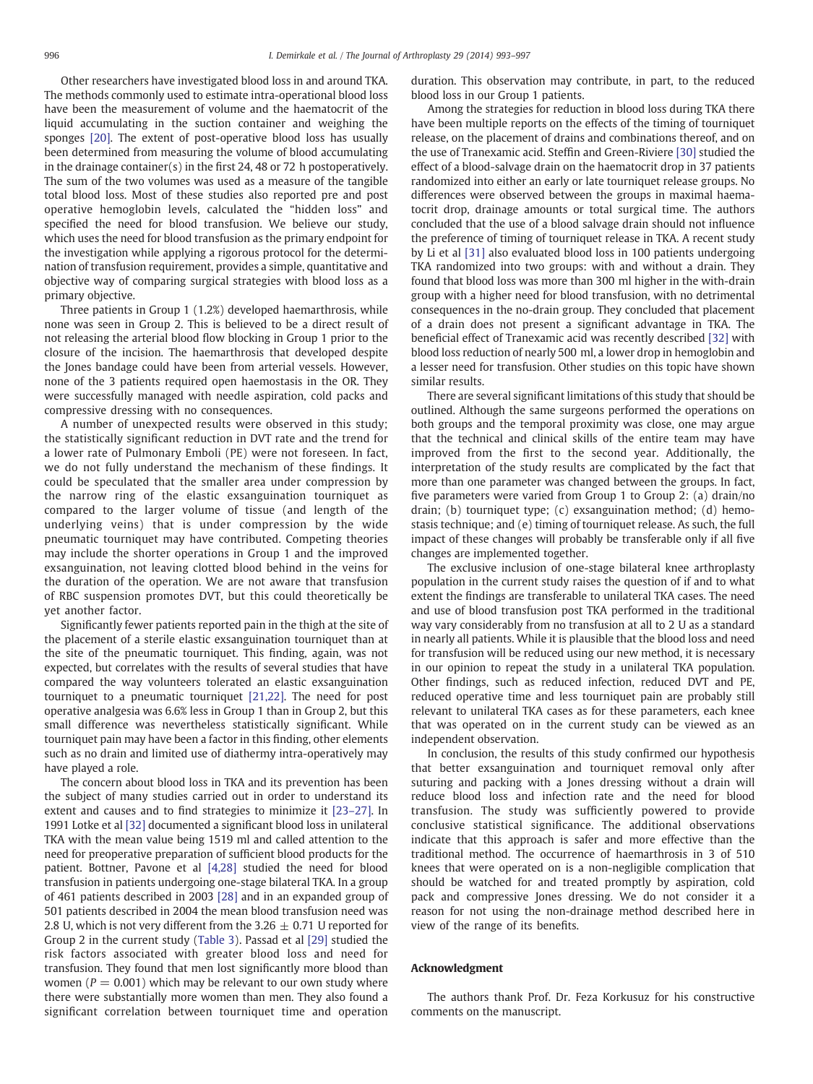Other researchers have investigated blood loss in and around TKA. The methods commonly used to estimate intra-operational blood loss have been the measurement of volume and the haematocrit of the liquid accumulating in the suction container and weighing the sponges [\[20\].](#page-4-0) The extent of post-operative blood loss has usually been determined from measuring the volume of blood accumulating in the drainage container(s) in the first 24, 48 or 72 h postoperatively. The sum of the two volumes was used as a measure of the tangible total blood loss. Most of these studies also reported pre and post operative hemoglobin levels, calculated the "hidden loss" and specified the need for blood transfusion. We believe our study, which uses the need for blood transfusion as the primary endpoint for the investigation while applying a rigorous protocol for the determination of transfusion requirement, provides a simple, quantitative and objective way of comparing surgical strategies with blood loss as a primary objective.

Three patients in Group 1 (1.2%) developed haemarthrosis, while none was seen in Group 2. This is believed to be a direct result of not releasing the arterial blood flow blocking in Group 1 prior to the closure of the incision. The haemarthrosis that developed despite the Jones bandage could have been from arterial vessels. However, none of the 3 patients required open haemostasis in the OR. They were successfully managed with needle aspiration, cold packs and compressive dressing with no consequences.

A number of unexpected results were observed in this study; the statistically significant reduction in DVT rate and the trend for a lower rate of Pulmonary Emboli (PE) were not foreseen. In fact, we do not fully understand the mechanism of these findings. It could be speculated that the smaller area under compression by the narrow ring of the elastic exsanguination tourniquet as compared to the larger volume of tissue (and length of the underlying veins) that is under compression by the wide pneumatic tourniquet may have contributed. Competing theories may include the shorter operations in Group 1 and the improved exsanguination, not leaving clotted blood behind in the veins for the duration of the operation. We are not aware that transfusion of RBC suspension promotes DVT, but this could theoretically be yet another factor.

Significantly fewer patients reported pain in the thigh at the site of the placement of a sterile elastic exsanguination tourniquet than at the site of the pneumatic tourniquet. This finding, again, was not expected, but correlates with the results of several studies that have compared the way volunteers tolerated an elastic exsanguination tourniquet to a pneumatic tourniquet [\[21,22\]](#page-4-0). The need for post operative analgesia was 6.6% less in Group 1 than in Group 2, but this small difference was nevertheless statistically significant. While tourniquet pain may have been a factor in this finding, other elements such as no drain and limited use of diathermy intra-operatively may have played a role.

The concern about blood loss in TKA and its prevention has been the subject of many studies carried out in order to understand its extent and causes and to find strategies to minimize it [\[23](#page-4-0)–27]. In 1991 Lotke et al [\[32\]](#page-4-0) documented a significant blood loss in unilateral TKA with the mean value being 1519 ml and called attention to the need for preoperative preparation of sufficient blood products for the patient. Bottner, Pavone et al [\[4,28\]](#page-4-0) studied the need for blood transfusion in patients undergoing one-stage bilateral TKA. In a group of 461 patients described in 2003 [\[28\]](#page-4-0) and in an expanded group of 501 patients described in 2004 the mean blood transfusion need was 2.8 U, which is not very different from the 3.26  $\pm$  0.71 U reported for Group 2 in the current study ([Table 3](#page-2-0)). Passad et al [\[29\]](#page-4-0) studied the risk factors associated with greater blood loss and need for transfusion. They found that men lost significantly more blood than women ( $P = 0.001$ ) which may be relevant to our own study where there were substantially more women than men. They also found a significant correlation between tourniquet time and operation duration. This observation may contribute, in part, to the reduced blood loss in our Group 1 patients.

Among the strategies for reduction in blood loss during TKA there have been multiple reports on the effects of the timing of tourniquet release, on the placement of drains and combinations thereof, and on the use of Tranexamic acid. Steffin and Green-Riviere [\[30\]](#page-4-0) studied the effect of a blood-salvage drain on the haematocrit drop in 37 patients randomized into either an early or late tourniquet release groups. No differences were observed between the groups in maximal haematocrit drop, drainage amounts or total surgical time. The authors concluded that the use of a blood salvage drain should not influence the preference of timing of tourniquet release in TKA. A recent study by Li et al [\[31\]](#page-4-0) also evaluated blood loss in 100 patients undergoing TKA randomized into two groups: with and without a drain. They found that blood loss was more than 300 ml higher in the with-drain group with a higher need for blood transfusion, with no detrimental consequences in the no-drain group. They concluded that placement of a drain does not present a significant advantage in TKA. The beneficial effect of Tranexamic acid was recently described [\[32\]](#page-4-0) with blood loss reduction of nearly 500 ml, a lower drop in hemoglobin and a lesser need for transfusion. Other studies on this topic have shown similar results.

There are several significant limitations of this study that should be outlined. Although the same surgeons performed the operations on both groups and the temporal proximity was close, one may argue that the technical and clinical skills of the entire team may have improved from the first to the second year. Additionally, the interpretation of the study results are complicated by the fact that more than one parameter was changed between the groups. In fact, five parameters were varied from Group 1 to Group 2: (a) drain/no drain; (b) tourniquet type; (c) exsanguination method; (d) hemostasis technique; and (e) timing of tourniquet release. As such, the full impact of these changes will probably be transferable only if all five changes are implemented together.

The exclusive inclusion of one-stage bilateral knee arthroplasty population in the current study raises the question of if and to what extent the findings are transferable to unilateral TKA cases. The need and use of blood transfusion post TKA performed in the traditional way vary considerably from no transfusion at all to 2 U as a standard in nearly all patients. While it is plausible that the blood loss and need for transfusion will be reduced using our new method, it is necessary in our opinion to repeat the study in a unilateral TKA population. Other findings, such as reduced infection, reduced DVT and PE, reduced operative time and less tourniquet pain are probably still relevant to unilateral TKA cases as for these parameters, each knee that was operated on in the current study can be viewed as an independent observation.

In conclusion, the results of this study confirmed our hypothesis that better exsanguination and tourniquet removal only after suturing and packing with a Jones dressing without a drain will reduce blood loss and infection rate and the need for blood transfusion. The study was sufficiently powered to provide conclusive statistical significance. The additional observations indicate that this approach is safer and more effective than the traditional method. The occurrence of haemarthrosis in 3 of 510 knees that were operated on is a non-negligible complication that should be watched for and treated promptly by aspiration, cold pack and compressive Jones dressing. We do not consider it a reason for not using the non-drainage method described here in view of the range of its benefits.

#### Acknowledgment

The authors thank Prof. Dr. Feza Korkusuz for his constructive comments on the manuscript.